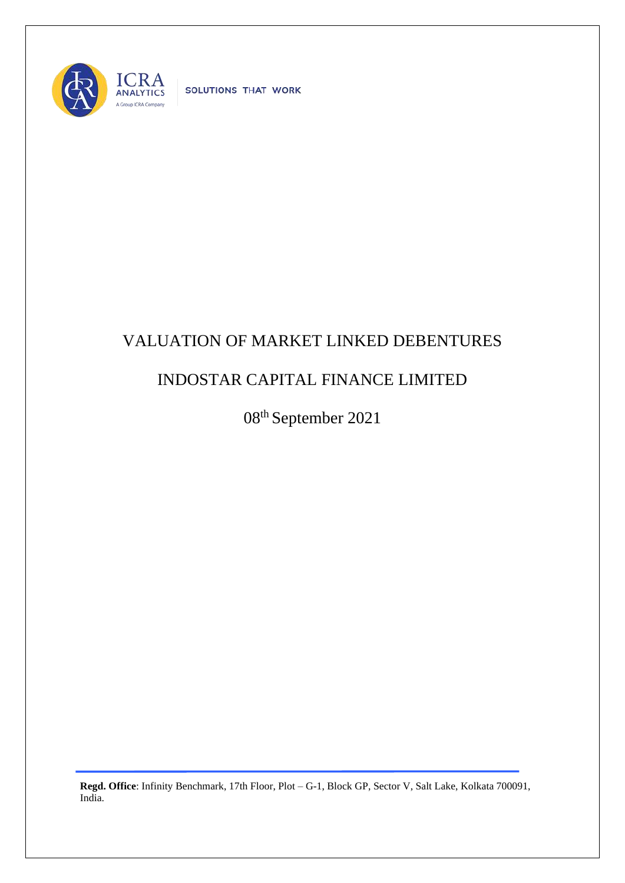

SOLUTIONS THAT WORK

## VALUATION OF MARKET LINKED DEBENTURES

## INDOSTAR CAPITAL FINANCE LIMITED

08 th September 2021

**Regd. Office**: Infinity Benchmark, 17th Floor, Plot – G-1, Block GP, Sector V, Salt Lake, Kolkata 700091, India.